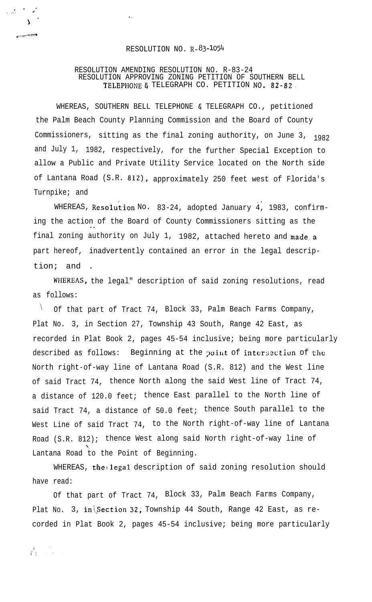## RESOLUTION NO. R-83-1054

. .

## RESOLUTION AMENDING RESOLUTION NO. R-83-24 RESOLUTION APPROVING ZONING PETITION OF SOUTHERN BELL TELEPHONE & TELEGRAPH CO. PETITION NO. 82-82

WHEREAS, SOUTHERN BELL TELEPHONE & TELEGRAPH CO., petitioned the Palm Beach County Planning Commission and the Board of County Commissioners, sitting as the final zoning authority, on June 3,  $1982$ and July 1, 1982, respectively, for the further Special Exception to allow a Public and Private Utility Service located on the North side of Lantana Road (S.R. 812), approximately 250 feet west of Florida's Turnpike; and

WHEREAS, Resolution No. 83-24, adopted January 4, 1983, confirming the action of the Board of County Commissioners sitting as the - final zoning authority on July 1, 1982, attached hereto and made a part hereof, inadvertently contained an error in the legal description; and .

. .

WHEREAS, the legal" description of said zoning resolutions, read as follows:

 $\sqrt{}$  Of that part of Tract 74, Block 33, Palm Beach Farms Company, Plat No. 3, in Section 27, Township 43 South, Range 42 East, as recorded in Plat Book 2, pages 45-54 inclusive; being more particularly described as follows: Beginning at the point of intersection of the North right-of-way line of Lantana Road (S.R. 812) and the West line of said Tract 74, thence North along the said West line of Tract 74, a distance of 120.0 feet; thence East parallel to the North line of said Tract 74, a distance of 50.0 feet; thence South parallel to the West Line of said Tract 74, to the North right-of-way line of Lantana Road (S.R. 812); thence West along said North right-of-way line of '. Lantana Road to the Point of Beginning.

WHEREAS, the legal description of said zoning resolution should have read:

Of that part of Tract 74, Block 33, Palm Beach Farms Company, Plat No. 3, in Section 32; Township 44 South, Range 42 East, as recorded in Plat Book 2, pages 45-54 inclusive; being more particularly

. . ; , l . .

5 <sup>í</sup>